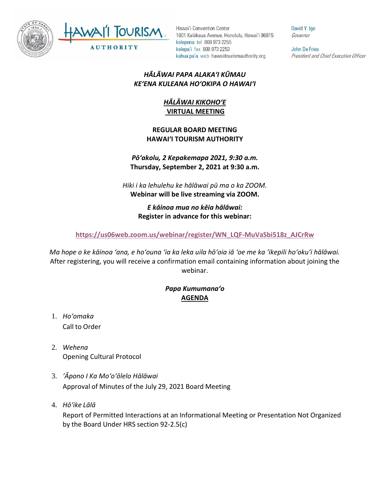



Hawai'i Convention Center 1801 Kalākaua Avenue, Honolulu, Hawai'i 96815 kelepona tel 808 973 2255 kelepa'i fax 808 973 2253 kahua pa'a web hawaiitourismauthority.org

David Y. Ige Governor

John De Fries President and Chief Executive Officer

## *HĀLĀWAI PAPA ALAKAʻI KŪMAU KEʻENA KULEANA HOʻOKIPA O HAWAIʻI*

## *HĀLĀWAI KIKOHOʻE* **VIRTUAL MEETING**

#### **REGULAR BOARD MEETING HAWAI'I TOURISM AUTHORITY**

## *Pōʻakolu, 2 Kepakemapa 2021, 9:30 a.m.* **Thursday, September 2, 2021 at 9:30 a.m.**

*Hiki i ka lehulehu ke hālāwai pū ma o ka ZOOM.* **Webinar will be live streaming via ZOOM.**

## *E kāinoa mua no kēia hālāwai:* **Register in advance for this webinar:**

### **[https://us06web.zoom.us/webinar/register/WN\\_LQF-MuVaSbi518z\\_AJCrRw](https://us06web.zoom.us/webinar/register/WN_LQF-MuVaSbi518z_AJCrRw)**

*Ma hope o ke kāinoa ʻana, e hoʻouna ʻia ka leka uila hōʻoia iā ʻoe me ka ʻikepili hoʻokuʻi hālāwai.* After registering, you will receive a confirmation email containing information about joining the webinar.

# *Papa Kumumanaʻo* **AGENDA**

- 1. *Ho'omaka* Call to Order
- 2. *Wehena* Opening Cultural Protocol
- 3. *ʻĀpono I Ka Moʻoʻōlelo Hālāwai* Approval of Minutes of the July 29, 2021 Board Meeting
- 4. *Hō'ike Lālā*

Report of Permitted Interactions at an Informational Meeting or Presentation Not Organized by the Board Under HRS section 92-2.5(c)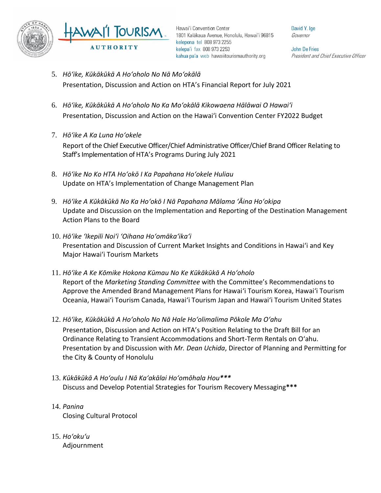

Hawai'i Convention Center 1801 Kalākaua Avenue, Honolulu, Hawai'i 96815 kelepona tel 808 973 2255 kelepa'i fax 808 973 2253 kahua pa'a web hawaiitourismauthority.org

David Y. Ige Governor

**John De Fries** President and Chief Executive Officer

- 5. *Hōʻike, Kūkākūkā A Hoʻoholo No Nā Moʻokālā*  Presentation, Discussion and Action on HTA's Financial Report for July 2021
- 6. *Hōʻike, Kūkākūkā A Hoʻoholo No Ka Moʻokālā Kikowaena Hālāwai O Hawaiʻi* Presentation, Discussion and Action on the Hawaiʻi Convention Center FY2022 Budget
- 7. *Hōʻike A Ka Luna Hoʻokele* Report of the Chief Executive Officer/Chief Administrative Officer/Chief Brand Officer Relating to Staff's Implementation of HTA's Programs During July 2021
- 8. *Hōʻike No Ko HTA Hoʻokō I Ka Papahana Hoʻokele Huliau* Update on HTA's Implementation of Change Management Plan
- 9. *Hōʻike A Kūkākūkā No Ka Hoʻokō I Nā Papahana Mālama ʻĀina Hoʻokipa* Update and Discussion on the Implementation and Reporting of the Destination Management Action Plans to the Board
- 10. *Hōʻike ʻIkepili Noiʻi ʻOihana Hoʻomākaʻikaʻi* Presentation and Discussion of Current Market Insights and Conditions in Hawai'i and Key Major Hawai'i Tourism Markets
- 11. *Hōʻike A Ke Kōmike Hokona Kūmau No Ke Kūkākūkā A Hoʻoholo* Report of the *Marketing Standing Committee* with the Committee's Recommendations to Approve the Amended Brand Management Plans for Hawaiʻi Tourism Korea, Hawaiʻi Tourism Oceania, Hawaiʻi Tourism Canada, Hawaiʻi Tourism Japan and Hawaiʻi Tourism United States
- 12. *Hōʻike, Kūkākūkā A Hoʻoholo No Nā Hale Hoʻolimalima Pōkole Ma Oʻahu* Presentation, Discussion and Action on HTA's Position Relating to the Draft Bill for an Ordinance Relating to Transient Accommodations and Short-Term Rentals on Oʻahu. Presentation by and Discussion with *Mr. Dean Uchida*, Director of Planning and Permitting for the City & County of Honolulu
- 13. *Kūkākūkā A Hoʻoulu I Nā Kaʻakālai Hoʻomōhala Hou\*\*\** Discuss and Develop Potential Strategies for Tourism Recovery Messaging**\*\*\***
- 14. *Panina* Closing Cultural Protocol
- 15. *Ho'oku'u* Adjournment